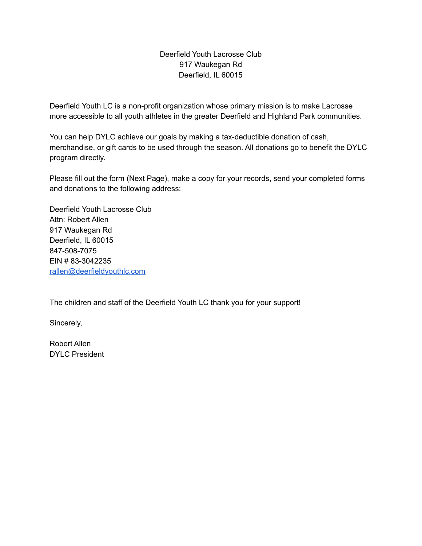### Deerfield Youth Lacrosse Club 917 Waukegan Rd Deerfield, IL 60015

Deerfield Youth LC is a non-profit organization whose primary mission is to make Lacrosse more accessible to all youth athletes in the greater Deerfield and Highland Park communities.

You can help DYLC achieve our goals by making a tax-deductible donation of cash, merchandise, or gift cards to be used through the season. All donations go to benefit the DYLC program directly.

Please fill out the form (Next Page), make a copy for your records, send your completed forms and donations to the following address:

Deerfield Youth Lacrosse Club Attn: Robert Allen 917 Waukegan Rd Deerfield, IL 60015 847-508-7075 EIN # 83-3042235 [rallen@deerfieldyouthlc.com](mailto:rallen@deerfieldyouthlc.com)

The children and staff of the Deerfield Youth LC thank you for your support!

Sincerely,

Robert Allen DYLC President